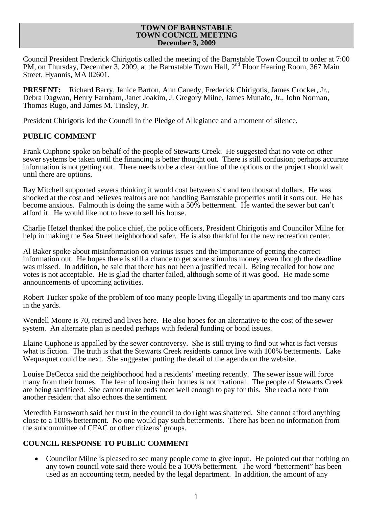#### **TOWN OF BARNSTABLE TOWN COUNCIL MEETING December 3, 2009**

Council President Frederick Chirigotis called the meeting of the Barnstable Town Council to order at 7:00 PM, on Thursday, December 3, 2009, at the Barnstable Town Hall, 2nd Floor Hearing Room, 367 Main Street, Hyannis, MA 02601.

**PRESENT:** Richard Barry, Janice Barton, Ann Canedy, Frederick Chirigotis, James Crocker, Jr., Debra Dagwan, Henry Farnham, Janet Joakim, J. Gregory Milne, James Munafo, Jr., John Norman, Thomas Rugo, and James M. Tinsley, Jr.

President Chirigotis led the Council in the Pledge of Allegiance and a moment of silence.

# **PUBLIC COMMENT**

Frank Cuphone spoke on behalf of the people of Stewarts Creek. He suggested that no vote on other sewer systems be taken until the financing is better thought out. There is still confusion; perhaps accurate information is not getting out. There needs to be a clear outline of the options or the project should wait until there are options.

Ray Mitchell supported sewers thinking it would cost between six and ten thousand dollars. He was shocked at the cost and believes realtors are not handling Barnstable properties until it sorts out. He has become anxious. Falmouth is doing the same with a 50% betterment. He wanted the sewer but can't afford it. He would like not to have to sell his house.

Charlie Hetzel thanked the police chief, the police officers, President Chirigotis and Councilor Milne for help in making the Sea Street neighborhood safer. He is also thankful for the new recreation center.

Al Baker spoke about misinformation on various issues and the importance of getting the correct information out. He hopes there is still a chance to get some stimulus money, even though the deadline was missed. In addition, he said that there has not been a justified recall. Being recalled for how one votes is not acceptable. He is glad the charter failed, although some of it was good. He made some announcements of upcoming activities.

Robert Tucker spoke of the problem of too many people living illegally in apartments and too many cars in the yards.

Wendell Moore is 70, retired and lives here. He also hopes for an alternative to the cost of the sewer system. An alternate plan is needed perhaps with federal funding or bond issues.

Elaine Cuphone is appalled by the sewer controversy. She is still trying to find out what is fact versus what is fiction. The truth is that the Stewarts Creek residents cannot live with 100% betterments. Lake Wequaquet could be next. She suggested putting the detail of the agenda on the website.

Louise DeCecca said the neighborhood had a residents' meeting recently. The sewer issue will force many from their homes. The fear of loosing their homes is not irrational. The people of Stewarts Creek are being sacrificed. She cannot make ends meet well enough to pay for this. She read a note from another resident that also echoes the sentiment.

Meredith Farnsworth said her trust in the council to do right was shattered. She cannot afford anything close to a 100% betterment. No one would pay such betterments. There has been no information from the subcommittee of CFAC or other citizens' groups.

# **COUNCIL RESPONSE TO PUBLIC COMMENT**

• Councilor Milne is pleased to see many people come to give input. He pointed out that nothing on any town council vote said there would be a 100% betterment. The word "betterment" has been used as an accounting term, needed by the legal department. In addition, the amount of any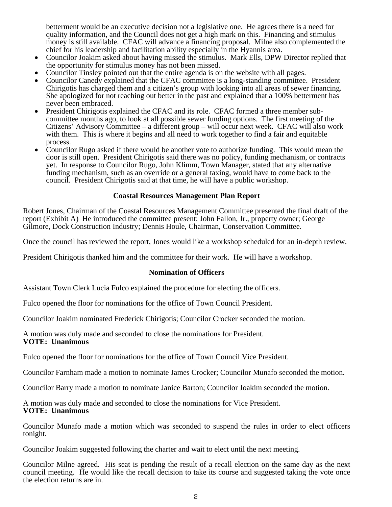betterment would be an executive decision not a legislative one. He agrees there is a need for quality information, and the Council does not get a high mark on this. Financing and stimulus money is still available. CFAC will advance a financing proposal. Milne also complemented the chief for his leadership and facilitation ability especially in the Hyannis area.

- Councilor Joakim asked about having missed the stimulus. Mark Ells, DPW Director replied that the opportunity for stimulus money has not been missed.
- 
- Councilor Tinsley pointed out that the entire agenda is on the website with all pages.<br>• Councilor Canedy explained that the CFAC committee is a long-standing committee. President Chirigotis has charged them and a citizen's group with looking into all areas of sewer financing. She apologized for not reaching out better in the past and explained that a 100% betterment has never been embraced.<br>• President Chirigotis explained the CFAC and its role. CFAC formed a three member sub-
- committee months ago, to look at all possible sewer funding options. The first meeting of the Citizens' Advisory Committee – a different group – will occur next week. CFAC will also work with them. This is where it begins and all need to work together to find a fair and equitable process.
- Councilor Rugo asked if there would be another vote to authorize funding. This would mean the door is still open. President Chirigotis said there was no policy, funding mechanism, or contracts yet. In response to Councilor Rugo, John Klimm, Town Manager, stated that any alternative funding mechanism, such as an override or a general taxing, would have to come back to the council. President Chirigotis said at that time, he will have a public workshop.

### **Coastal Resources Management Plan Report**

Robert Jones, Chairman of the Coastal Resources Management Committee presented the final draft of the report (Exhibit A) He introduced the committee present: John Fallon, Jr., property owner; George Gilmore, Dock Construction Industry; Dennis Houle, Chairman, Conservation Committee.

Once the council has reviewed the report, Jones would like a workshop scheduled for an in-depth review.

President Chirigotis thanked him and the committee for their work. He will have a workshop.

#### **Nomination of Officers**

Assistant Town Clerk Lucia Fulco explained the procedure for electing the officers.

Fulco opened the floor for nominations for the office of Town Council President.

Councilor Joakim nominated Frederick Chirigotis; Councilor Crocker seconded the motion.

A motion was duly made and seconded to close the nominations for President. **VOTE: Unanimous** 

Fulco opened the floor for nominations for the office of Town Council Vice President.

Councilor Farnham made a motion to nominate James Crocker; Councilor Munafo seconded the motion.

Councilor Barry made a motion to nominate Janice Barton; Councilor Joakim seconded the motion.

A motion was duly made and seconded to close the nominations for Vice President. **VOTE: Unanimous** 

Councilor Munafo made a motion which was seconded to suspend the rules in order to elect officers tonight.

Councilor Joakim suggested following the charter and wait to elect until the next meeting.

Councilor Milne agreed. His seat is pending the result of a recall election on the same day as the next council meeting. He would like the recall decision to take its course and suggested taking the vote once the election returns are in.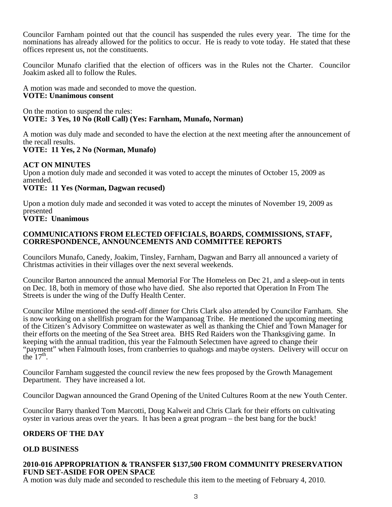Councilor Farnham pointed out that the council has suspended the rules every year. The time for the nominations has already allowed for the politics to occur. He is ready to vote today. He stated that these offices represent us, not the constituents.

Councilor Munafo clarified that the election of officers was in the Rules not the Charter. Councilor Joakim asked all to follow the Rules.

A motion was made and seconded to move the question. **VOTE: Unanimous consent** 

On the motion to suspend the rules: **VOTE: 3 Yes, 10 No (Roll Call) (Yes: Farnham, Munafo, Norman)** 

A motion was duly made and seconded to have the election at the next meeting after the announcement of the recall results.

# **VOTE: 11 Yes, 2 No (Norman, Munafo)**

# **ACT ON MINUTES**

Upon a motion duly made and seconded it was voted to accept the minutes of October 15, 2009 as amended.

# **VOTE: 11 Yes (Norman, Dagwan recused)**

Upon a motion duly made and seconded it was voted to accept the minutes of November 19, 2009 as presented

# **VOTE: Unanimous**

# **COMMUNICATIONS FROM ELECTED OFFICIALS, BOARDS, COMMISSIONS, STAFF, CORRESPONDENCE, ANNOUNCEMENTS AND COMMITTEE REPORTS**

Councilors Munafo, Canedy, Joakim, Tinsley, Farnham, Dagwan and Barry all announced a variety of Christmas activities in their villages over the next several weekends.

Councilor Barton announced the annual Memorial For The Homeless on Dec 21, and a sleep-out in tents on Dec. 18, both in memory of those who have died. She also reported that Operation In From The Streets is under the wing of the Duffy Health Center.

Councilor Milne mentioned the send-off dinner for Chris Clark also attended by Councilor Farnham. She is now working on a shellfish program for the Wampanoag Tribe. He mentioned the upcoming meeting of the Citizen's Advisory Committee on wastewater as well as thanking the Chief and Town Manager for their efforts on the meeting of the Sea Street area. BHS Red Raiders won the Thanksgiving game. In keeping with the annual tradition, this year the Falmouth Selectmen have agreed to change their "payment" when Falmouth loses, from cranberries to quahogs and maybe oysters. Delivery will occur on the  $17<sup>th</sup>$ .

Councilor Farnham suggested the council review the new fees proposed by the Growth Management Department. They have increased a lot.

Councilor Dagwan announced the Grand Opening of the United Cultures Room at the new Youth Center.

Councilor Barry thanked Tom Marcotti, Doug Kalweit and Chris Clark for their efforts on cultivating oyster in various areas over the years. It has been a great program – the best bang for the buck!

# **ORDERS OF THE DAY**

# **OLD BUSINESS**

# **2010-016 APPROPRIATION & TRANSFER \$137,500 FROM COMMUNITY PRESERVATION FUND SET-ASIDE FOR OPEN SPACE**

A motion was duly made and seconded to reschedule this item to the meeting of February 4, 2010.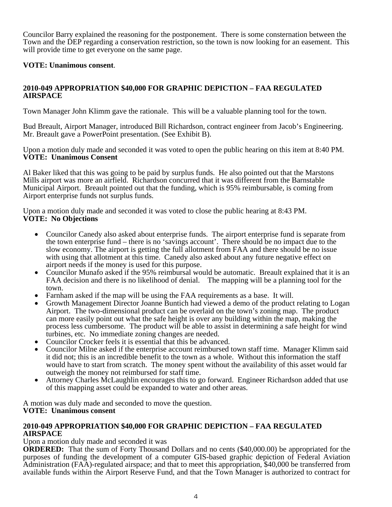Councilor Barry explained the reasoning for the postponement. There is some consternation between the Town and the DEP regarding a conservation restriction, so the town is now looking for an easement. This will provide time to get everyone on the same page.

# **VOTE: Unanimous consent**.

# **2010-049 APPROPRIATION \$40,000 FOR GRAPHIC DEPICTION – FAA REGULATED AIRSPACE**

Town Manager John Klimm gave the rationale. This will be a valuable planning tool for the town.

Bud Breault, Airport Manager, introduced Bill Richardson, contract engineer from Jacob's Engineering. Mr. Breault gave a PowerPoint presentation. (See Exhibit B).

Upon a motion duly made and seconded it was voted to open the public hearing on this item at 8:40 PM. **VOTE: Unanimous Consent** 

Al Baker liked that this was going to be paid by surplus funds. He also pointed out that the Marstons Mills airport was more an airfield. Richardson concurred that it was different from the Barnstable Municipal Airport. Breault pointed out that the funding, which is 95% reimbursable, is coming from Airport enterprise funds not surplus funds.

Upon a motion duly made and seconded it was voted to close the public hearing at 8:43 PM. **VOTE: No Objections** 

- Councilor Canedy also asked about enterprise funds. The airport enterprise fund is separate from the town enterprise fund – there is no 'savings account'. There should be no impact due to the slow economy. The airport is getting the full allotment from FAA and there should be no issue with using that allotment at this time. Canedy also asked about any future negative effect on
- airport needs if the money is used for this purpose. Councilor Munafo asked if the 95% reimbursal would be automatic. Breault explained that it is an FAA decision and there is no likelihood of denial. The mapping will be a planning tool for the
- 
- town.<br>• Farnham asked if the map will be using the FAA requirements as a base. It will.<br>• Growth Management Director Joanne Buntich had viewed a demo of the product relating to Logan Airport. The two-dimensional product can be overlaid on the town's zoning map. The product can more easily point out what the safe height is over any building within the map, making the process less cumbersome. The product will be able to assist in determining a safe height for wind turbines, etc. No immediate zoning changes are needed.<br>
• Councilor Crocker feels it is essential that this be advanced.<br>
• Councilor Milne asked if the enterprise account reimbursed town staff time. Manager Klimm said
- 
- it did not; this is an incredible benefit to the town as a whole. Without this information the staff would have to start from scratch. The money spent without the availability of this asset would far
- outweigh the money not reimbursed for staff time.<br>Attorney Charles McLaughlin encourages this to go forward. Engineer Richardson added that use of this mapping asset could be expanded to water and other areas.

A motion was duly made and seconded to move the question. **VOTE: Unanimous consent** 

### **2010-049 APPROPRIATION \$40,000 FOR GRAPHIC DEPICTION – FAA REGULATED AIRSPACE**

# Upon a motion duly made and seconded it was

**ORDERED:** That the sum of Forty Thousand Dollars and no cents (\$40,000.00) be appropriated for the purposes of funding the development of a computer GIS-based graphic depiction of Federal Aviation Administration (FAA)-regulated airspace; and that to meet this appropriation, \$40,000 be transferred from available funds within the Airport Reserve Fund, and that the Town Manager is authorized to contract for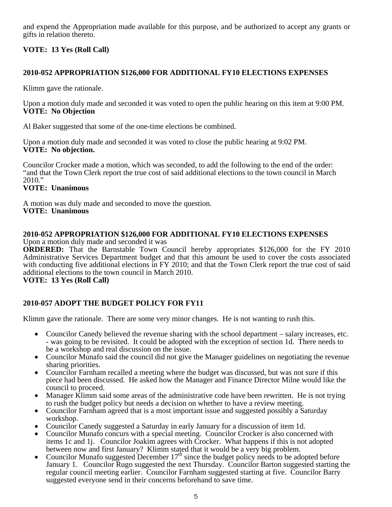and expend the Appropriation made available for this purpose, and be authorized to accept any grants or gifts in relation thereto.

# **VOTE: 13 Yes (Roll Call)**

# **2010-052 APPROPRIATION \$126,000 FOR ADDITIONAL FY10 ELECTIONS EXPENSES**

Klimm gave the rationale.

Upon a motion duly made and seconded it was voted to open the public hearing on this item at 9:00 PM. **VOTE: No Objection** 

Al Baker suggested that some of the one-time elections be combined.

Upon a motion duly made and seconded it was voted to close the public hearing at 9:02 PM. **VOTE: No objection.** 

Councilor Crocker made a motion, which was seconded, to add the following to the end of the order: "and that the Town Clerk report the true cost of said additional elections to the town council in March 2010."

# **VOTE: Unanimous**

A motion was duly made and seconded to move the question. **VOTE: Unanimous** 

#### **2010-052 APPROPRIATION \$126,000 FOR ADDITIONAL FY10 ELECTIONS EXPENSES**  Upon a motion duly made and seconded it was

**ORDERED:** That the Barnstable Town Council hereby appropriates \$126,000 for the FY 2010 Administrative Services Department budget and that this amount be used to cover the costs associated with conducting five additional elections in FY 2010; and that the Town Clerk report the true cost of said additional elections to the town council in March 2010.

# **VOTE: 13 Yes (Roll Call)**

# **2010-057 ADOPT THE BUDGET POLICY FOR FY11**

Klimm gave the rationale. There are some very minor changes. He is not wanting to rush this.

- Councilor Canedy believed the revenue sharing with the school department salary increases, etc. - was going to be revisited. It could be adopted with the exception of section 1d. There needs to be a workshop and real discussion on the issue. • Councilor Munafo said the council did not give the Manager guidelines on negotiating the revenue
- 
- sharing priorities.<br>
Councilor Farnham recalled a meeting where the budget was discussed, but was not sure if this piece had been discussed. He asked how the Manager and Finance Director Milne would like the council to proceed. • Manager Klimm said some areas of the administrative code have been rewritten. He is not trying
- to rush the budget policy but needs a decision on whether to have a review meeting.
- Councilor Farnham agreed that is a most important issue and suggested possibly a Saturday workshop. • Councilor Canedy suggested a Saturday in early January for a discussion of item 1d.
- 
- Councilor Munafo concurs with a special meeting. Councilor Crocker is also concerned with items 1c and 1j. Councilor Joakim agrees with Crocker. What happens if this is not adopted between now and first January? Klimm stated that it would be a very big problem.
- Councilor Munafo suggested December  $17<sup>th</sup>$  since the budget policy needs to be adopted before January 1. Councilor Rugo suggested the next Thursday. Councilor Barton suggested starting the regular council meeting earlier. Councilor Farnham suggested starting at five. Councilor Barry suggested everyone send in their concerns beforehand to save time.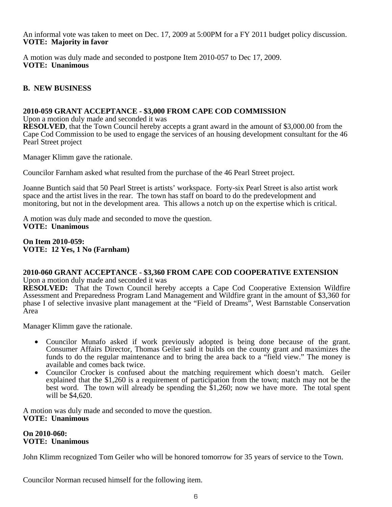An informal vote was taken to meet on Dec. 17, 2009 at 5:00PM for a FY 2011 budget policy discussion. **VOTE: Majority in favor** 

A motion was duly made and seconded to postpone Item 2010-057 to Dec 17, 2009. **VOTE: Unanimous** 

# **B. NEW BUSINESS**

### **2010-059 GRANT ACCEPTANCE - \$3,000 FROM CAPE COD COMMISSION**

Upon a motion duly made and seconded it was

**RESOLVED**, that the Town Council hereby accepts a grant award in the amount of \$3,000.00 from the Cape Cod Commission to be used to engage the services of an housing development consultant for the 46 Pearl Street project

Manager Klimm gave the rationale.

Councilor Farnham asked what resulted from the purchase of the 46 Pearl Street project.

Joanne Buntich said that 50 Pearl Street is artists' workspace. Forty-six Pearl Street is also artist work space and the artist lives in the rear. The town has staff on board to do the predevelopment and monitoring, but not in the development area. This allows a notch up on the expertise which is critical.

A motion was duly made and seconded to move the question. **VOTE: Unanimous** 

**On Item 2010-059: VOTE: 12 Yes, 1 No (Farnham)** 

# **2010-060 GRANT ACCEPTANCE - \$3,360 FROM CAPE COD COOPERATIVE EXTENSION**

Upon a motion duly made and seconded it was

**RESOLVED:** That the Town Council hereby accepts a Cape Cod Cooperative Extension Wildfire Assessment and Preparedness Program Land Management and Wildfire grant in the amount of \$3,360 for phase I of selective invasive plant management at the "Field of Dreams", West Barnstable Conservation Area

Manager Klimm gave the rationale.

- Councilor Munafo asked if work previously adopted is being done because of the grant. Consumer Affairs Director, Thomas Geiler said it builds on the county grant and maximizes the funds to do the regular maintenance and to bring the area back to a "field view." The money is
- available and comes back twice. Councilor Crocker is confused about the matching requirement which doesn't match. Geiler explained that the \$1,260 is a requirement of participation from the town; match may not be the best word. The town will already be spending the  $$1,260$ ; now we have more. The total spent will be \$4,620.

A motion was duly made and seconded to move the question. **VOTE: Unanimous** 

### **On 2010-060: VOTE: Unanimous**

John Klimm recognized Tom Geiler who will be honored tomorrow for 35 years of service to the Town.

Councilor Norman recused himself for the following item.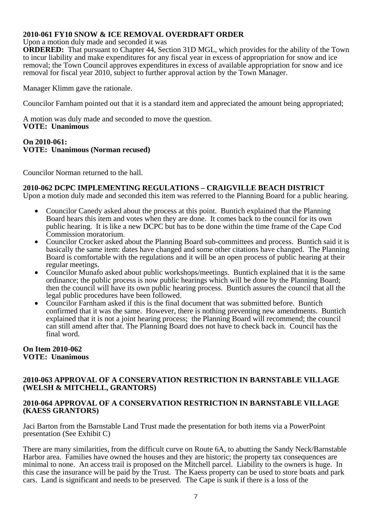# **2010-061 FY10 SNOW & ICE REMOVAL OVERDRAFT ORDER**

Upon a motion duly made and seconded it was

**ORDERED:** That pursuant to Chapter 44, Section 31D MGL, which provides for the ability of the Town to incur liability and make expenditures for any fiscal year in excess of appropriation for snow and ice removal; the Town Council approves expenditures in excess of available appropriation for snow and ice removal for fiscal year 2010, subject to further approval action by the Town Manager.

Manager Klimm gave the rationale.

Councilor Farnham pointed out that it is a standard item and appreciated the amount being appropriated;

A motion was duly made and seconded to move the question. **VOTE: Unanimous** 

#### **On 2010-061: VOTE: Unanimous (Norman recused)**

Councilor Norman returned to the hall.

# **2010-062 DCPC IMPLEMENTING REGULATIONS – CRAIGVILLE BEACH DISTRICT**

Upon a motion duly made and seconded this item was referred to the Planning Board for a public hearing.

- Councilor Canedy asked about the process at this point. Buntich explained that the Planning Board hears this item and votes when they are done. It comes back to the council for its own public hearing. It is like a new DCPC but has to be done within the time frame of the Cape Cod
- Commission moratorium. Councilor Crocker asked about the Planning Board sub-committees and process. Buntich said it is basically the same item: dates have changed and some other citations have changed. The Planning Board is comfortable with the regulations and it will be an open process of public hearing at their
- regular meetings. Councilor Munafo asked about public workshops/meetings. Buntich explained that it is the same ordinance; the public process is now public hearings which will be done by the Planning Board; then the council will have its own public hearing process. Buntich assures the council that all the legal public procedures have been followed.<br>Councilor Farnham asked if this is the final document that was submitted before. Buntich
- confirmed that it was the same. However, there is nothing preventing new amendments. Buntich explained that it is not a joint hearing process; the Planning Board will recommend; the council can still amend after that. The Planning Board does not have to check back in. Council has the final word.

### **On Item 2010-062 VOTE: Unanimous**

# **2010-063 APPROVAL OF A CONSERVATION RESTRICTION IN BARNSTABLE VILLAGE (WELSH & MITCHELL, GRANTORS)**

### **2010-064 APPROVAL OF A CONSERVATION RESTRICTION IN BARNSTABLE VILLAGE (KAESS GRANTORS)**

Jaci Barton from the Barnstable Land Trust made the presentation for both items via a PowerPoint presentation (See Exhibit C)

There are many similarities, from the difficult curve on Route 6A, to abutting the Sandy Neck/Barnstable Harbor area. Families have owned the houses and they are historic; the property tax consequences are minimal to none. An access trail is proposed on the Mitchell parcel. Liability to the owners is huge. In this case the insurance will be paid by the Trust. The Kaess property can be used to store boats and park cars. Land is significant and needs to be preserved. The Cape is sunk if there is a loss of the